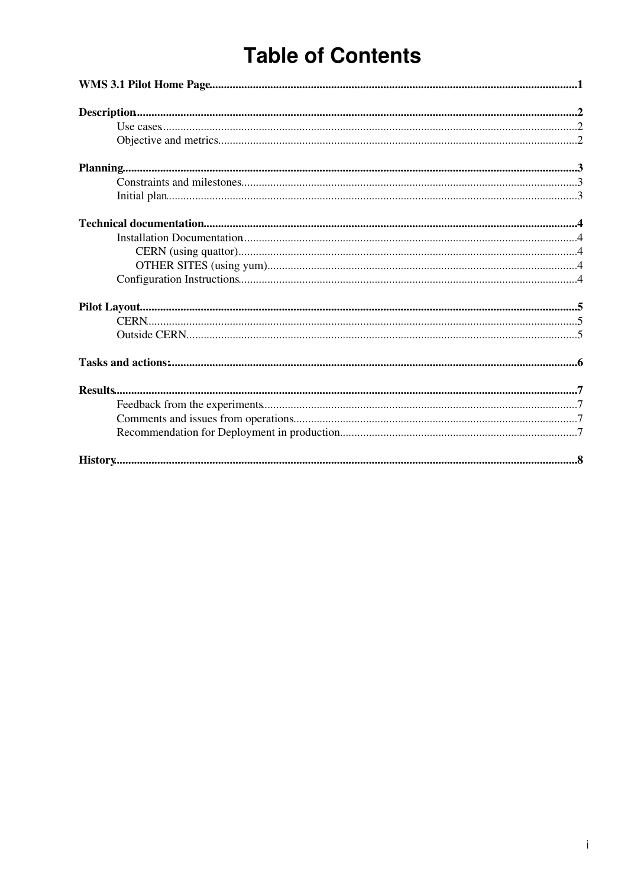# **Table of Contents**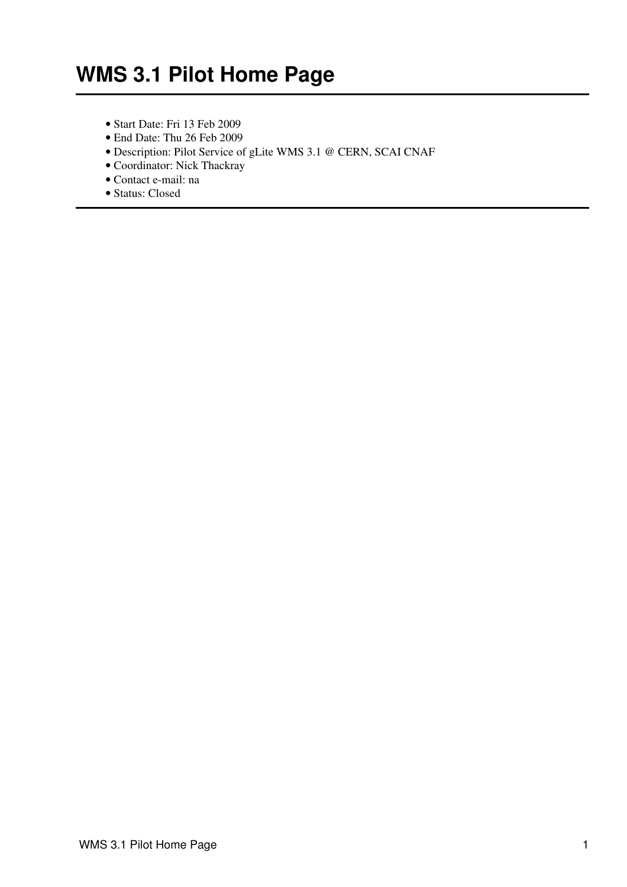- <span id="page-1-0"></span>• Start Date: Fri 13 Feb 2009
- End Date: Thu 26 Feb 2009
- Description: Pilot Service of gLite WMS 3.1 @ CERN, SCAI CNAF
- Coordinator: Nick Thackray
- Contact e-mail: na
- Status: Closed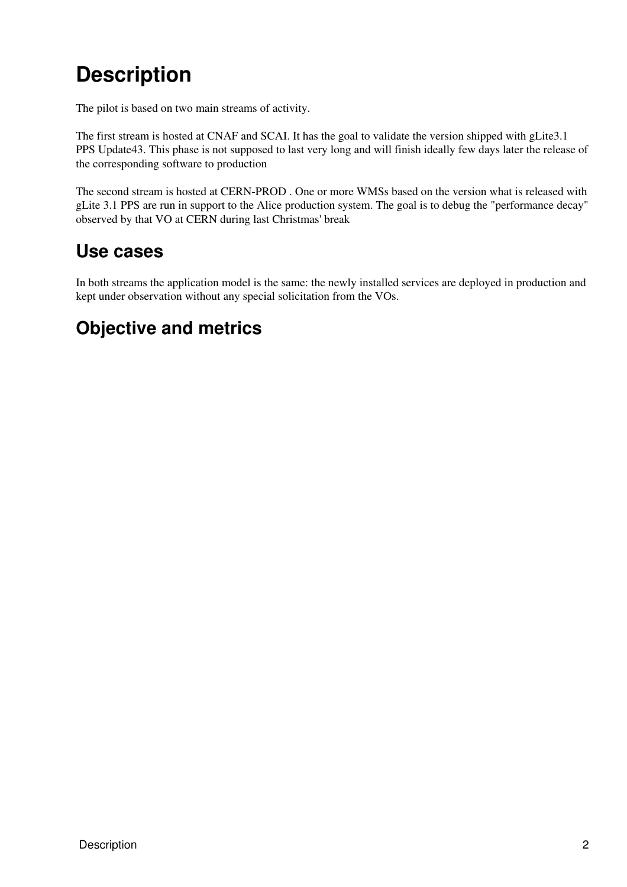# <span id="page-2-0"></span>**Description**

The pilot is based on two main streams of activity.

The first stream is hosted at CNAF and SCAI. It has the goal to validate the version shipped with gLite3.1 PPS Update43. This phase is not supposed to last very long and will finish ideally few days later the release of the corresponding software to production

The second stream is hosted at CERN-PROD . One or more WMSs based on the version what is released with gLite 3.1 PPS are run in support to the Alice production system. The goal is to debug the "performance decay" observed by that VO at CERN during last Christmas' break

#### <span id="page-2-1"></span>**Use cases**

In both streams the application model is the same: the newly installed services are deployed in production and kept under observation without any special solicitation from the VOs.

### <span id="page-2-2"></span>**Objective and metrics**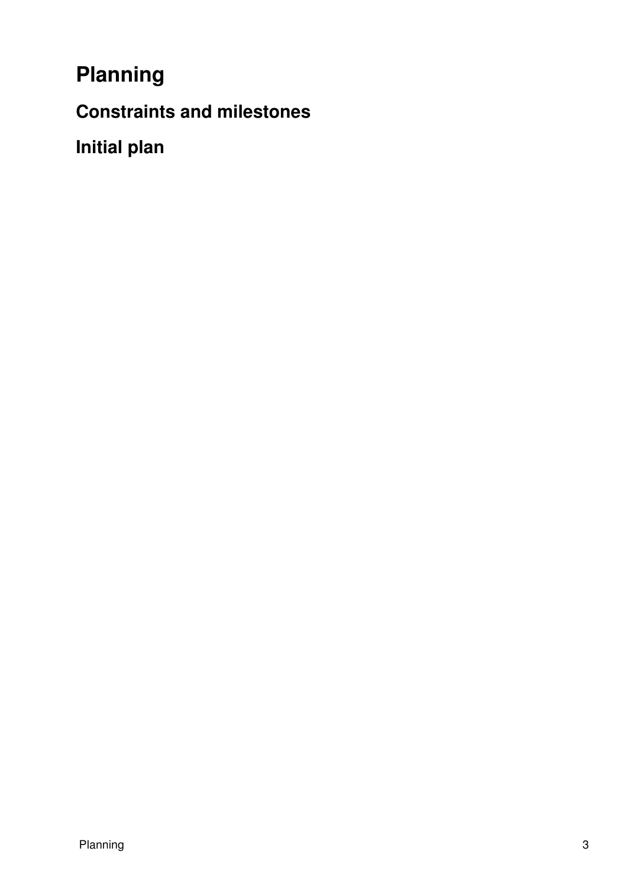<span id="page-3-0"></span>**Planning**

<span id="page-3-1"></span>**Constraints and milestones**

<span id="page-3-2"></span>**Initial plan**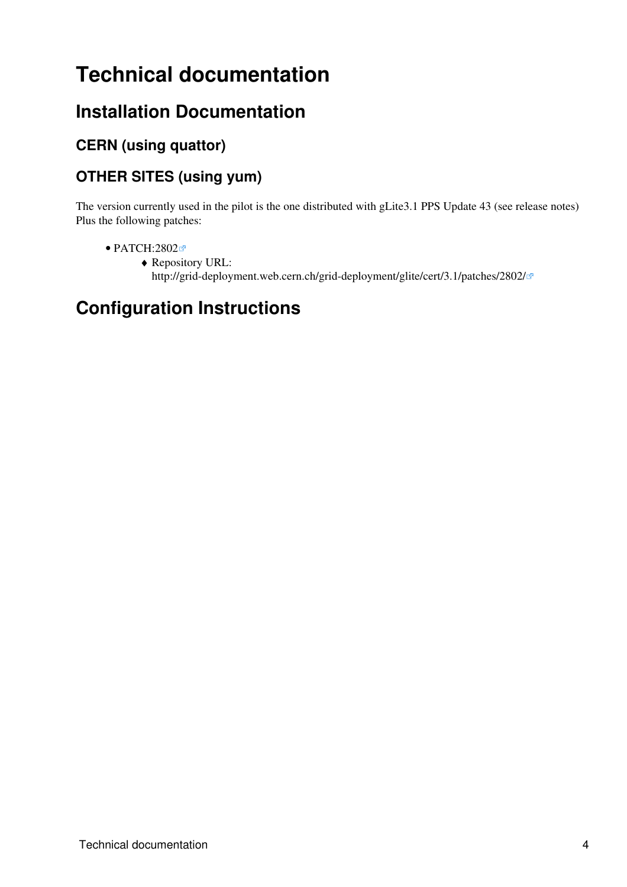## <span id="page-4-0"></span>**Technical documentation**

#### <span id="page-4-1"></span>**Installation Documentation**

#### <span id="page-4-2"></span>**CERN (using quattor)**

#### <span id="page-4-3"></span>**OTHER SITES (using yum)**

The version currently used in the pilot is the one distributed with gLite3.1 PPS Update 43 (see [release notes\)](https://twiki.cern.ch/twiki/bin/view/EGEE/PPSReleaseNotes_310_PPS_Update43) Plus the following patches:

- [PATCH:2802](https://savannah.cern.ch/patch/?2802)
	- Repository URL: ♦ <http://grid-deployment.web.cern.ch/grid-deployment/glite/cert/3.1/patches/2802/>

### <span id="page-4-4"></span>**Configuration Instructions**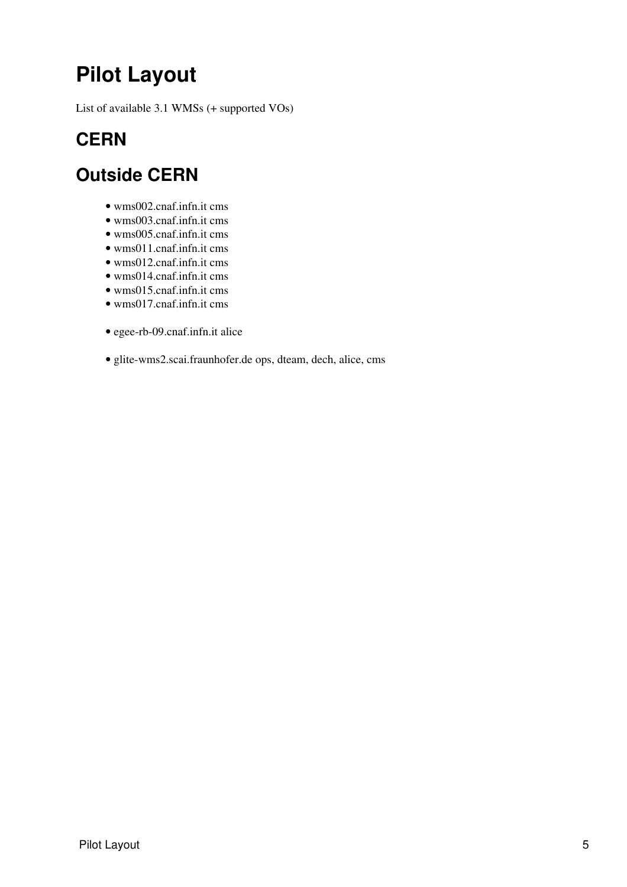# <span id="page-5-0"></span>**Pilot Layout**

List of available 3.1 WMSs (+ supported VOs)

### <span id="page-5-1"></span>**CERN**

#### <span id="page-5-2"></span>**Outside CERN**

- wms002.cnaf.infn.it cms
- wms003.cnaf.infn.it cms
- wms005.cnaf.infn.it cms
- wms011.cnaf.infn.it cms
- wms012.cnaf.infn.it cms
- wms014.cnaf.infn.it cms
- wms015.cnaf.infn.it cms
- wms017.cnaf.infn.it cms
- egee-rb-09.cnaf.infn.it alice
- glite-wms2.scai.fraunhofer.de ops, dteam, dech, alice, cms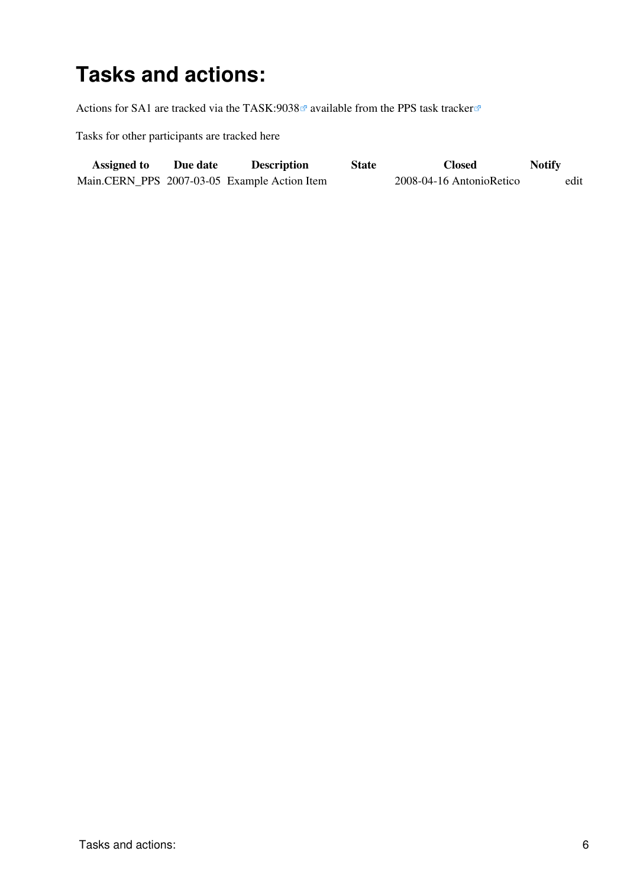## <span id="page-6-0"></span>**Tasks and actions:**

Actions for SA1 are tracked via the TASK:9038<sup>a</sup> available from the [PPS task tracker](http://www.cern.ch/pps/index.php?dir=./ActivityManagement/SA1DeploymentTaskTracking/&)<sup>a</sup>

Tasks for other participants are tracked here

| <b>Assigned to</b> | Due date | <b>Description</b>                           | <b>State</b> | <b>Closed</b>            | <b>Notify</b> |
|--------------------|----------|----------------------------------------------|--------------|--------------------------|---------------|
|                    |          | Main.CERN_PPS 2007-03-05 Example Action Item |              | 2008-04-16 AntonioRetico | edit          |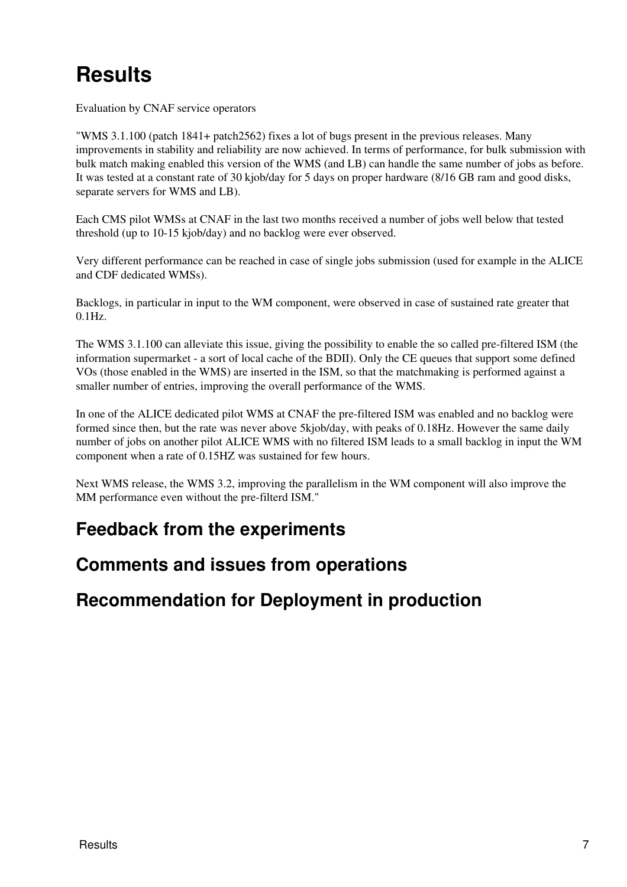# <span id="page-7-0"></span>**Results**

Evaluation by CNAF service operators

"WMS 3.1.100 (patch 1841+ patch2562) fixes a lot of bugs present in the previous releases. Many improvements in stability and reliability are now achieved. In terms of performance, for bulk submission with bulk match making enabled this version of the WMS (and LB) can handle the same number of jobs as before. It was tested at a constant rate of 30 kjob/day for 5 days on proper hardware (8/16 GB ram and good disks, separate servers for WMS and LB).

Each CMS pilot WMSs at CNAF in the last two months received a number of jobs well below that tested threshold (up to 10-15 kjob/day) and no backlog were ever observed.

Very different performance can be reached in case of single jobs submission (used for example in the ALICE and CDF dedicated WMSs).

Backlogs, in particular in input to the WM component, were observed in case of sustained rate greater that 0.1Hz.

The WMS 3.1.100 can alleviate this issue, giving the possibility to enable the so called pre-filtered ISM (the information supermarket - a sort of local cache of the BDII). Only the CE queues that support some defined VOs (those enabled in the WMS) are inserted in the ISM, so that the matchmaking is performed against a smaller number of entries, improving the overall performance of the WMS.

In one of the ALICE dedicated pilot WMS at CNAF the pre-filtered ISM was enabled and no backlog were formed since then, but the rate was never above 5kjob/day, with peaks of 0.18Hz. However the same daily number of jobs on another pilot ALICE WMS with no filtered ISM leads to a small backlog in input the WM component when a rate of 0.15HZ was sustained for few hours.

Next WMS release, the WMS 3.2, improving the parallelism in the WM component will also improve the MM performance even without the pre-filterd ISM."

#### <span id="page-7-1"></span>**Feedback from the experiments**

#### <span id="page-7-2"></span>**Comments and issues from operations**

<span id="page-7-3"></span>**Recommendation for Deployment in production**